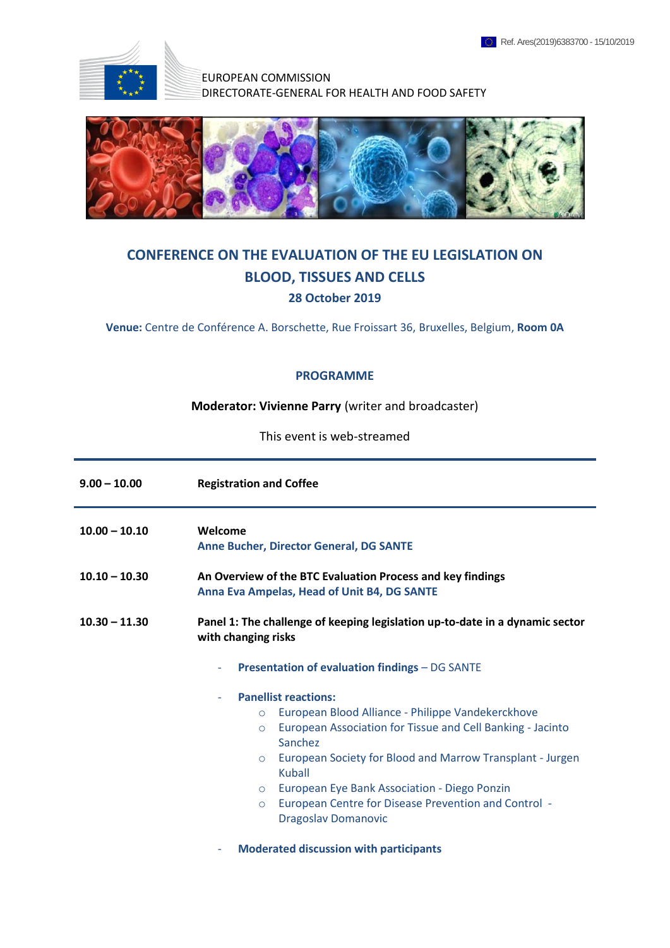

EUROPEAN COMMISSION DIRECTORATE-GENERAL FOR HEALTH AND FOOD SAFETY



## **CONFERENCE ON THE EVALUATION OF THE EU LEGISLATION ON BLOOD, TISSUES AND CELLS 28 October 2019**

**Venue:** Centre de Conférence A. Borschette, Rue Froissart 36, Bruxelles, Belgium, **Room 0A**

## **PROGRAMME**

**Moderator: Vivienne Parry** (writer and broadcaster)

This event is web-streamed

| $9.00 - 10.00$  | <b>Registration and Coffee</b>                                                                                                                                                                                                      |
|-----------------|-------------------------------------------------------------------------------------------------------------------------------------------------------------------------------------------------------------------------------------|
| $10.00 - 10.10$ | Welcome<br>Anne Bucher, Director General, DG SANTE                                                                                                                                                                                  |
| $10.10 - 10.30$ | An Overview of the BTC Evaluation Process and key findings<br>Anna Eva Ampelas, Head of Unit B4, DG SANTE                                                                                                                           |
| $10.30 - 11.30$ | Panel 1: The challenge of keeping legislation up-to-date in a dynamic sector<br>with changing risks                                                                                                                                 |
|                 | <b>Presentation of evaluation findings - DG SANTE</b><br>۰                                                                                                                                                                          |
|                 | <b>Panellist reactions:</b><br>$\overline{\phantom{a}}$                                                                                                                                                                             |
|                 | European Blood Alliance - Philippe Vandekerckhove<br>$\circ$<br>European Association for Tissue and Cell Banking - Jacinto<br>$\circ$<br>Sanchez<br>European Society for Blood and Marrow Transplant - Jurgen<br>O<br><b>Kuball</b> |
|                 | European Eye Bank Association - Diego Ponzin<br>$\circ$<br>European Centre for Disease Prevention and Control -<br>$\circ$<br><b>Dragoslav Domanovic</b><br><b>Moderated discussion with participants</b><br>۰                      |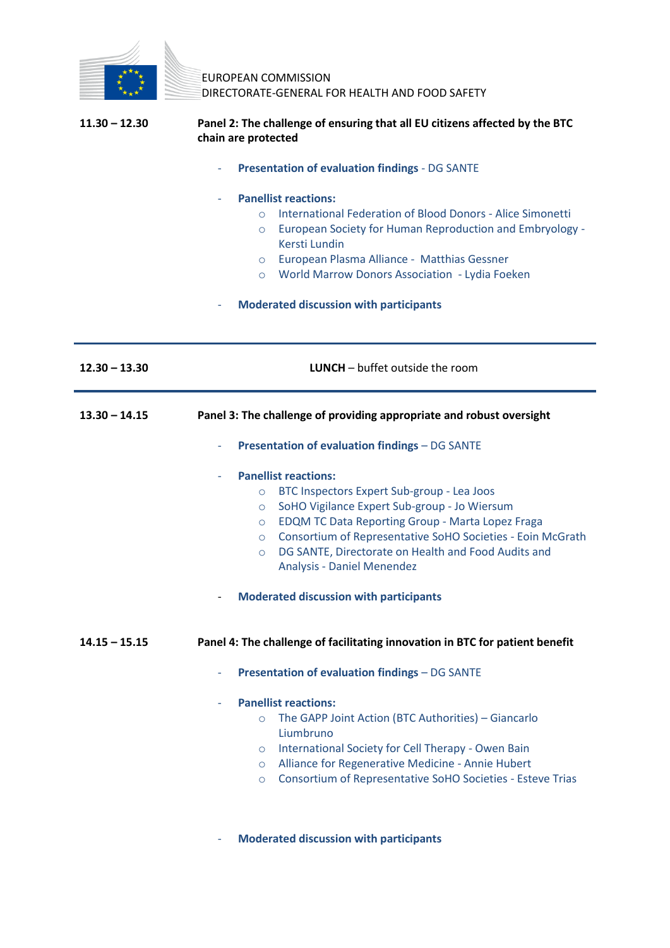

EUROPEAN COMMISSION DIRECTORATE-GENERAL FOR HEALTH AND FOOD SAFETY

| $11.30 - 12.30$ | Panel 2: The challenge of ensuring that all EU citizens affected by the BTC |
|-----------------|-----------------------------------------------------------------------------|
|                 | chain are protected                                                         |

- **Presentation of evaluation findings** - DG SANTE

## - **Panellist reactions:**

- o International Federation of Blood Donors Alice Simonetti
- o European Society for Human Reproduction and Embryology Kersti Lundin
- o European Plasma Alliance Matthias Gessner
- o World Marrow Donors Association Lydia Foeken
- **Moderated discussion with participants**

| $12.30 - 13.30$ | <b>LUNCH</b> $-$ buffet outside the room                                                                                                                                                                                                                                                                                                                                                                                                               |
|-----------------|--------------------------------------------------------------------------------------------------------------------------------------------------------------------------------------------------------------------------------------------------------------------------------------------------------------------------------------------------------------------------------------------------------------------------------------------------------|
| $13.30 - 14.15$ | Panel 3: The challenge of providing appropriate and robust oversight                                                                                                                                                                                                                                                                                                                                                                                   |
|                 | <b>Presentation of evaluation findings - DG SANTE</b>                                                                                                                                                                                                                                                                                                                                                                                                  |
|                 | <b>Panellist reactions:</b><br>BTC Inspectors Expert Sub-group - Lea Joos<br>$\circ$<br>SoHO Vigilance Expert Sub-group - Jo Wiersum<br>$\circ$<br><b>EDQM TC Data Reporting Group - Marta Lopez Fraga</b><br>$\circ$<br>Consortium of Representative SoHO Societies - Eoin McGrath<br>$\circ$<br>DG SANTE, Directorate on Health and Food Audits and<br>$\circ$<br><b>Analysis - Daniel Menendez</b><br><b>Moderated discussion with participants</b> |
| $14.15 - 15.15$ | Panel 4: The challenge of facilitating innovation in BTC for patient benefit<br><b>Presentation of evaluation findings - DG SANTE</b><br>÷                                                                                                                                                                                                                                                                                                             |
|                 | <b>Panellist reactions:</b><br>The GAPP Joint Action (BTC Authorities) - Giancarlo<br>$\circ$<br>Liumbruno<br>International Society for Cell Therapy - Owen Bain<br>$\circ$<br>Alliance for Regenerative Medicine - Annie Hubert<br>$\circ$<br>Consortium of Representative SoHO Societies - Esteve Trias<br>$\circ$                                                                                                                                   |

- **Moderated discussion with participants**